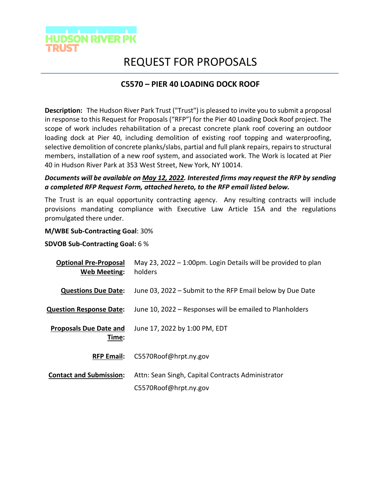

# REQUEST FOR PROPOSALS

## **C5570 – PIER 40 LOADING DOCK ROOF**

**Description:** The Hudson River Park Trust ("Trust") is pleased to invite you to submit a proposal in response to this Request for Proposals ("RFP") for the Pier 40 Loading Dock Roof project. The scope of work includes rehabilitation of a precast concrete plank roof covering an outdoor loading dock at Pier 40, including demolition of existing roof topping and waterproofing, selective demolition of concrete planks/slabs, partial and full plank repairs, repairs to structural members, installation of a new roof system, and associated work. The Work is located at Pier 40 in Hudson River Park at 353 West Street, New York, NY 10014.

### *Documents will be available on May 12, 2022. Interested firms may request the RFP by sending a completed RFP Request Form, attached hereto, to the RFP email listed below.*

The Trust is an equal opportunity contracting agency. Any resulting contracts will include provisions mandating compliance with Executive Law Article 15A and the regulations promulgated there under.

#### **M/WBE Sub-Contracting Goal**: 30%

#### **SDVOB Sub-Contracting Goal:** 6 %

| May 23, 2022 $-$ 1:00pm. Login Details will be provided to plan<br>holders |
|----------------------------------------------------------------------------|
| June 03, 2022 – Submit to the RFP Email below by Due Date                  |
| June 10, 2022 – Responses will be emailed to Planholders                   |
| June 17, 2022 by 1:00 PM, EDT                                              |
| C5570Roof@hrpt.ny.gov                                                      |
| Attn: Sean Singh, Capital Contracts Administrator<br>C5570Roof@hrpt.ny.gov |
|                                                                            |